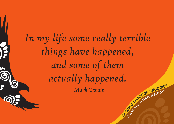**C**<br>Like and *c*<sup>o</sup>n<sup>*d*</sup> *c*<sup>on</sup><br>*Like and contributionallers*.com meurditers.com *In my life some really terrible things have happened, and some of them actually happened. - Mark Twain*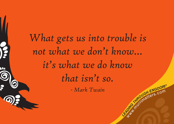**C**<br>Like and *c*<sup>o</sup>n<sup>*d*</sup> *c*<sup>on</sup><br>*Like and contributionallers*.com meurditers.com *What gets us into trouble is not what we don't know… it's what we do know that isn't so. - Mark Twain*

K

N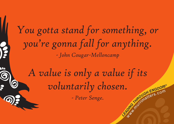*You gotta stand for something, or you're gonna fall for anything. - John Cougar-Melloncamp*

*A value is only a value if its voluntarily chosen. - Peter Senge.*

 $\bullet$ 

# **2.**<br>Le *d*<sup>d</sup> *d i*<sup>*n*</sup><sup>*e*</sup>*d i*<sup>*n*</sup> *a*<sup>*d*</sup> *d i*<sup>*n*</sup> *a*<sup>*d*</sup> *i*<sup>*n*</sup> *com* meurditers.com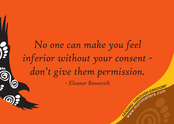## **C**<br>Like *dia conditional ENGOORI® No one can make you feel inferior without your consent don't give them permission. - Eleanor Roosevelt*

Way.

meurditers.com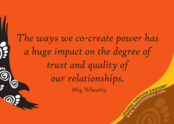### *The ways we co-create power has a huge impact on the degree of trust and quality of our relationships. - Meg Wheatley*

**C**<br>Like *dia conditional ENGOORI®* meurditers.com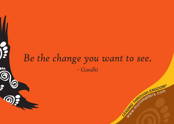

#### *Be the change you want to see. - Gandhi*

 $\bullet$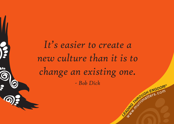*It's easier to create a new culture than it is to change an existing one. - Bob Dick*

**C**<br>Like *dia conditional ENGOORI®* 

meurditers.com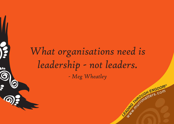### *What organisations need is leadership - not leaders. - Meg Wheatley*

 $\bullet$ 

**C**<br>Like *dia conditional ENGOORI®* 

meurditers.com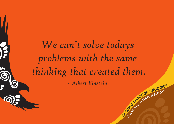*We can't solve todays problems with the same thinking that created them. - Albert Einstein*

IS

**C**<br>Like *dia conditional ENGOORI®* 

meurditers.com